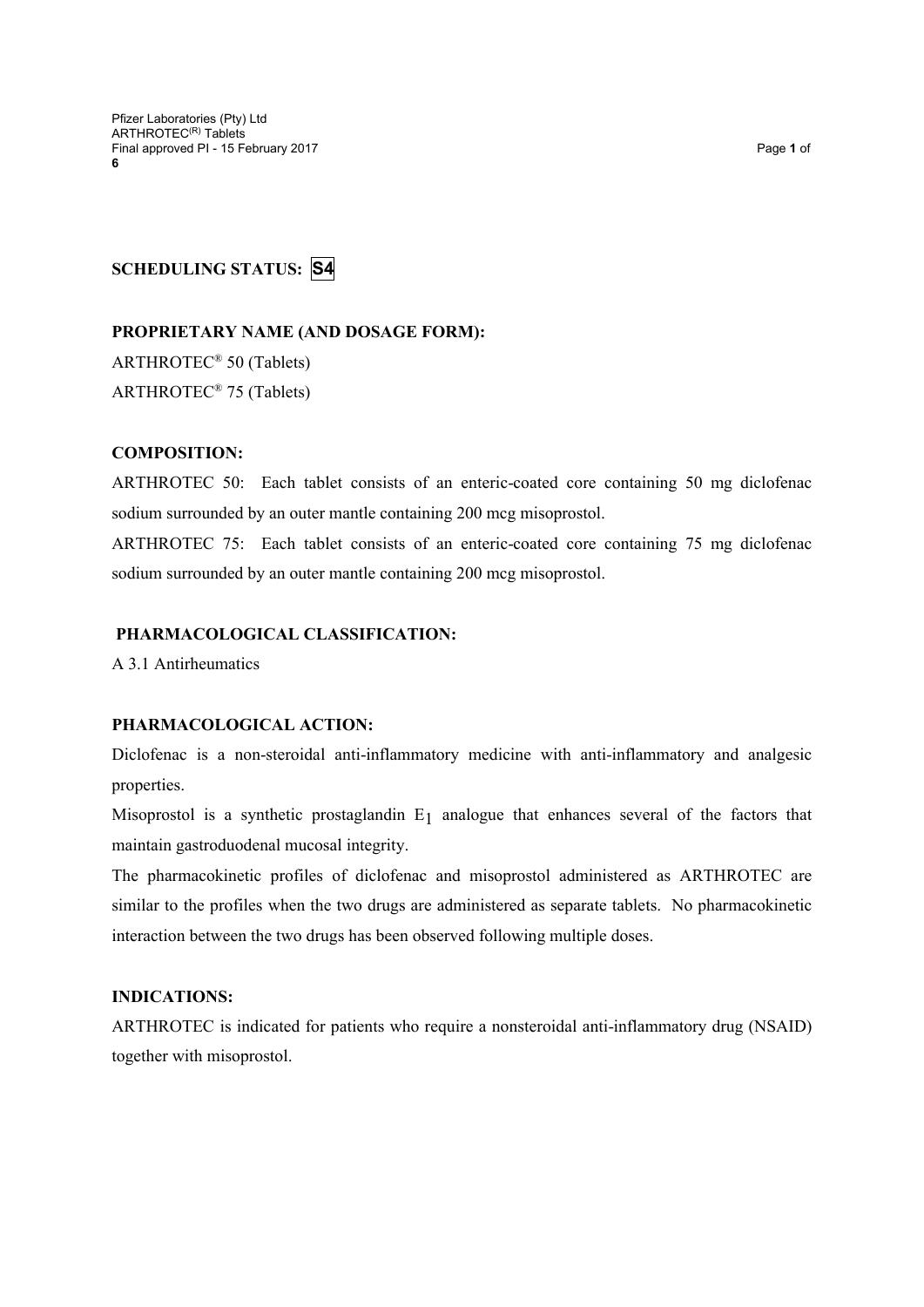# **SCHEDULING STATUS: S4**

**PROPRIETARY NAME (AND DOSAGE FORM):** ARTHROTEC® 50 (Tablets)

ARTHROTEC® 75 (Tablets)

### **COMPOSITION:**

ARTHROTEC 50: Each tablet consists of an enteric-coated core containing 50 mg diclofenac sodium surrounded by an outer mantle containing 200 mcg misoprostol.

ARTHROTEC 75: Each tablet consists of an enteric-coated core containing 75 mg diclofenac sodium surrounded by an outer mantle containing 200 mcg misoprostol.

### **PHARMACOLOGICAL CLASSIFICATION:**

A 3.1 Antirheumatics

## **PHARMACOLOGICAL ACTION:**

Diclofenac is a non-steroidal anti-inflammatory medicine with anti-inflammatory and analgesic properties.

Misoprostol is a synthetic prostaglandin  $E_1$  analogue that enhances several of the factors that maintain gastroduodenal mucosal integrity.

The pharmacokinetic profiles of diclofenac and misoprostol administered as ARTHROTEC are similar to the profiles when the two drugs are administered as separate tablets. No pharmacokinetic interaction between the two drugs has been observed following multiple doses.

### **INDICATIONS:**

ARTHROTEC is indicated for patients who require a nonsteroidal anti-inflammatory drug (NSAID) together with misoprostol.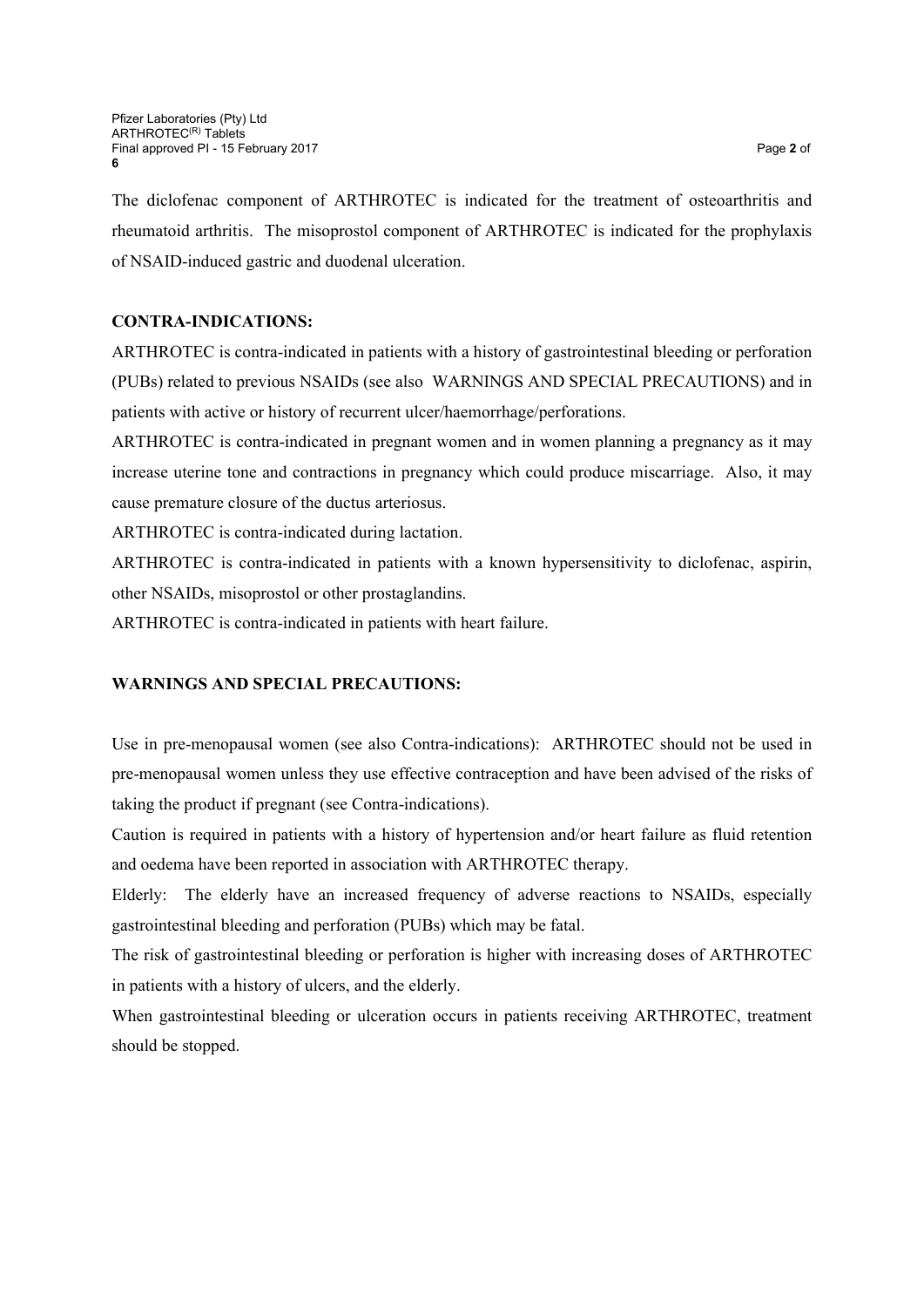The diclofenac component of ARTHROTEC is indicated for the treatment of osteoarthritis and rheumatoid arthritis. The misoprostol component of ARTHROTEC is indicated for the prophylaxis of NSAID-induced gastric and duodenal ulceration.

# **CONTRA-INDICATIONS:**

ARTHROTEC is contra-indicated in patients with a history of gastrointestinal bleeding or perforation (PUBs) related to previous NSAIDs (see also WARNINGS AND SPECIAL PRECAUTIONS) and in patients with active or history of recurrent ulcer/haemorrhage/perforations.

ARTHROTEC is contra-indicated in pregnant women and in women planning a pregnancy as it may increase uterine tone and contractions in pregnancy which could produce miscarriage. Also, it may cause premature closure of the ductus arteriosus.

ARTHROTEC is contra-indicated during lactation.

ARTHROTEC is contra-indicated in patients with a known hypersensitivity to diclofenac, aspirin, other NSAIDs, misoprostol or other prostaglandins.

ARTHROTEC is contra-indicated in patients with heart failure.

# **WARNINGS AND SPECIAL PRECAUTIONS:**

Use in pre-menopausal women (see also Contra-indications): ARTHROTEC should not be used in pre-menopausal women unless they use effective contraception and have been advised of the risks of taking the product if pregnant (see Contra-indications).

Caution is required in patients with a history of hypertension and/or heart failure as fluid retention and oedema have been reported in association with ARTHROTEC therapy.

Elderly: The elderly have an increased frequency of adverse reactions to NSAIDs, especially gastrointestinal bleeding and perforation (PUBs) which may be fatal.

The risk of gastrointestinal bleeding or perforation is higher with increasing doses of ARTHROTEC in patients with a history of ulcers, and the elderly.

When gastrointestinal bleeding or ulceration occurs in patients receiving ARTHROTEC, treatment should be stopped.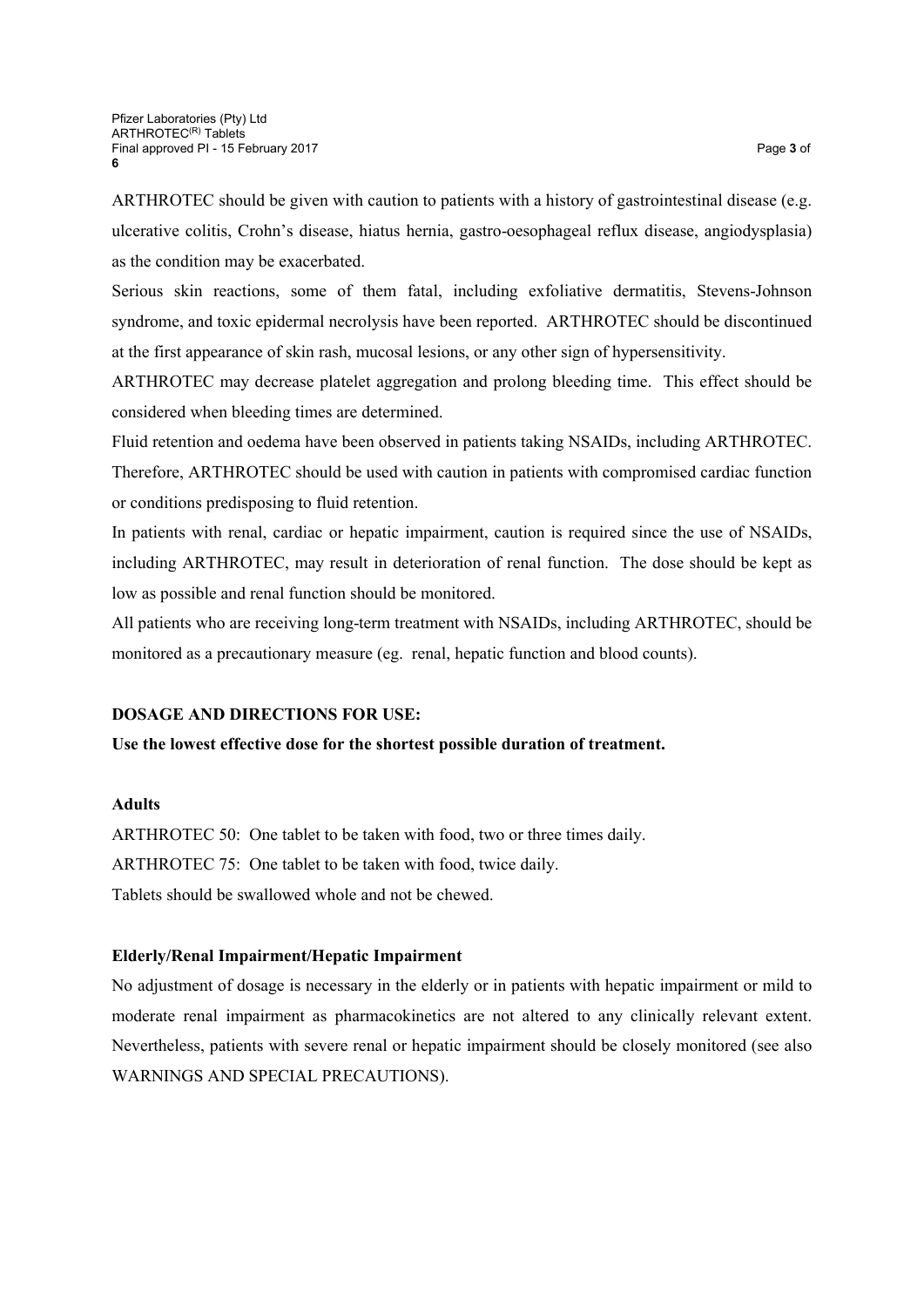ARTHROTEC should be given with caution to patients with a history of gastrointestinal disease (e.g. ulcerative colitis, Crohn's disease, hiatus hernia, gastro-oesophageal reflux disease, angiodysplasia) as the condition may be exacerbated.

Serious skin reactions, some of them fatal, including exfoliative dermatitis, Stevens-Johnson syndrome, and toxic epidermal necrolysis have been reported. ARTHROTEC should be discontinued at the first appearance of skin rash, mucosal lesions, or any other sign of hypersensitivity.

ARTHROTEC may decrease platelet aggregation and prolong bleeding time. This effect should be considered when bleeding times are determined.

Fluid retention and oedema have been observed in patients taking NSAIDs, including ARTHROTEC. Therefore, ARTHROTEC should be used with caution in patients with compromised cardiac function or conditions predisposing to fluid retention.

In patients with renal, cardiac or hepatic impairment, caution is required since the use of NSAIDs, including ARTHROTEC, may result in deterioration of renal function. The dose should be kept as low as possible and renal function should be monitored.

All patients who are receiving long-term treatment with NSAIDs, including ARTHROTEC, should be monitored as a precautionary measure (eg. renal, hepatic function and blood counts).

### **DOSAGE AND DIRECTIONS FOR USE:**

**Use the lowest effective dose for the shortest possible duration of treatment.**

### **Adults**

ARTHROTEC 50: One tablet to be taken with food, two or three times daily. ARTHROTEC 75: One tablet to be taken with food, twice daily. Tablets should be swallowed whole and not be chewed.

### **Elderly/Renal Impairment/Hepatic Impairment**

No adjustment of dosage is necessary in the elderly or in patients with hepatic impairment or mild to moderate renal impairment as pharmacokinetics are not altered to any clinically relevant extent. Nevertheless, patients with severe renal or hepatic impairment should be closely monitored (see also WARNINGS AND SPECIAL PRECAUTIONS).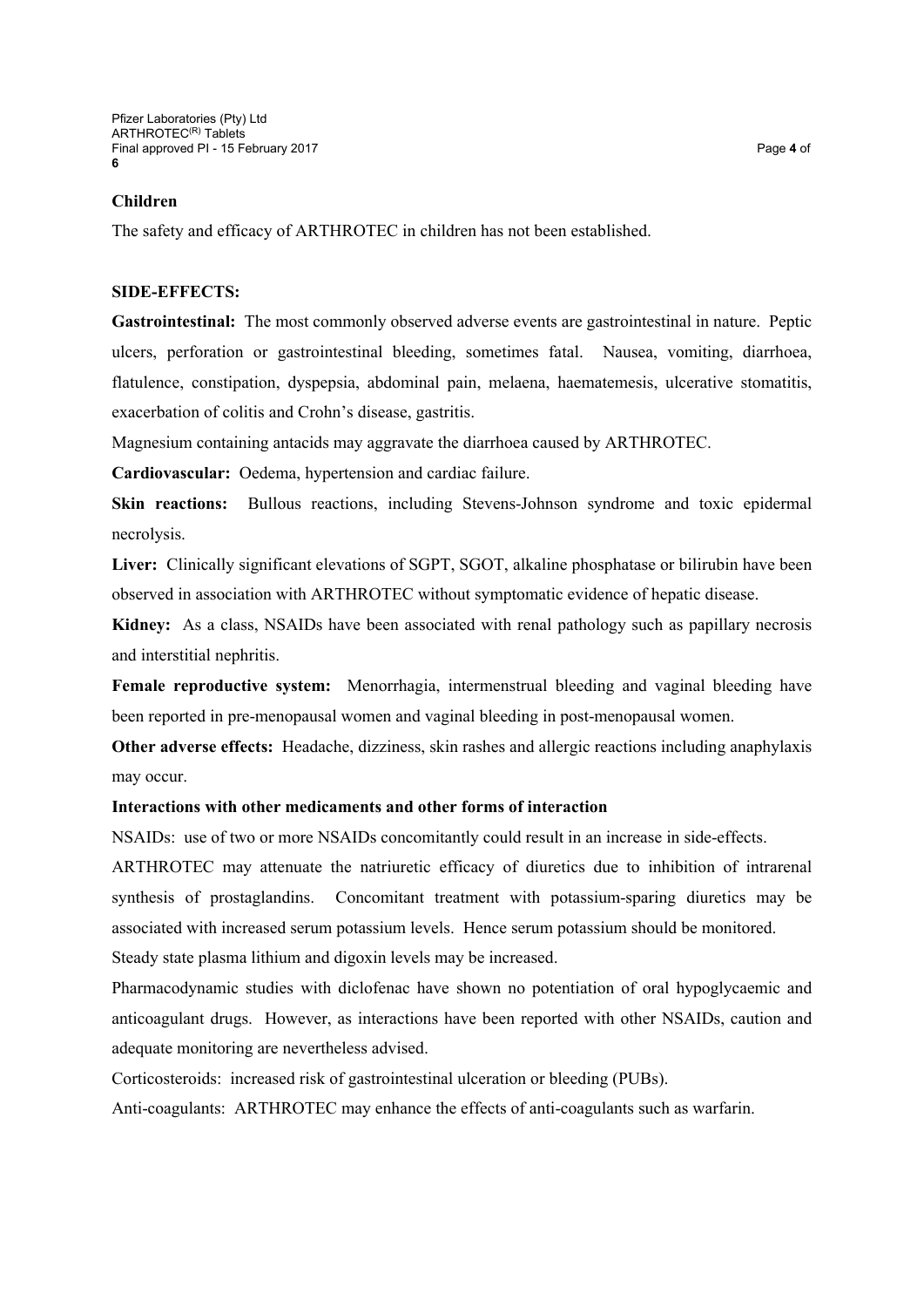### **Children**

The safety and efficacy of ARTHROTEC in children has not been established.

#### **SIDE-EFFECTS:**

**Gastrointestinal:** The most commonly observed adverse events are gastrointestinal in nature. Peptic ulcers, perforation or gastrointestinal bleeding, sometimes fatal. Nausea, vomiting, diarrhoea, flatulence, constipation, dyspepsia, abdominal pain, melaena, haematemesis, ulcerative stomatitis, exacerbation of colitis and Crohn's disease, gastritis.

Magnesium containing antacids may aggravate the diarrhoea caused by ARTHROTEC.

**Cardiovascular:** Oedema, hypertension and cardiac failure.

**Skin reactions:** Bullous reactions, including Stevens-Johnson syndrome and toxic epidermal necrolysis.

**Liver:** Clinically significant elevations of SGPT, SGOT, alkaline phosphatase or bilirubin have been observed in association with ARTHROTEC without symptomatic evidence of hepatic disease.

**Kidney:** As a class, NSAIDs have been associated with renal pathology such as papillary necrosis and interstitial nephritis.

**Female reproductive system:** Menorrhagia, intermenstrual bleeding and vaginal bleeding have been reported in pre-menopausal women and vaginal bleeding in post-menopausal women.

**Other adverse effects:** Headache, dizziness, skin rashes and allergic reactions including anaphylaxis may occur.

### **Interactions with other medicaments and other forms of interaction**

NSAIDs: use of two or more NSAIDs concomitantly could result in an increase in side-effects.

ARTHROTEC may attenuate the natriuretic efficacy of diuretics due to inhibition of intrarenal synthesis of prostaglandins. Concomitant treatment with potassium-sparing diuretics may be associated with increased serum potassium levels. Hence serum potassium should be monitored. Steady state plasma lithium and digoxin levels may be increased.

Pharmacodynamic studies with diclofenac have shown no potentiation of oral hypoglycaemic and anticoagulant drugs. However, as interactions have been reported with other NSAIDs, caution and adequate monitoring are nevertheless advised.

Corticosteroids: increased risk of gastrointestinal ulceration or bleeding (PUBs).

Anti-coagulants: ARTHROTEC may enhance the effects of anti-coagulants such as warfarin.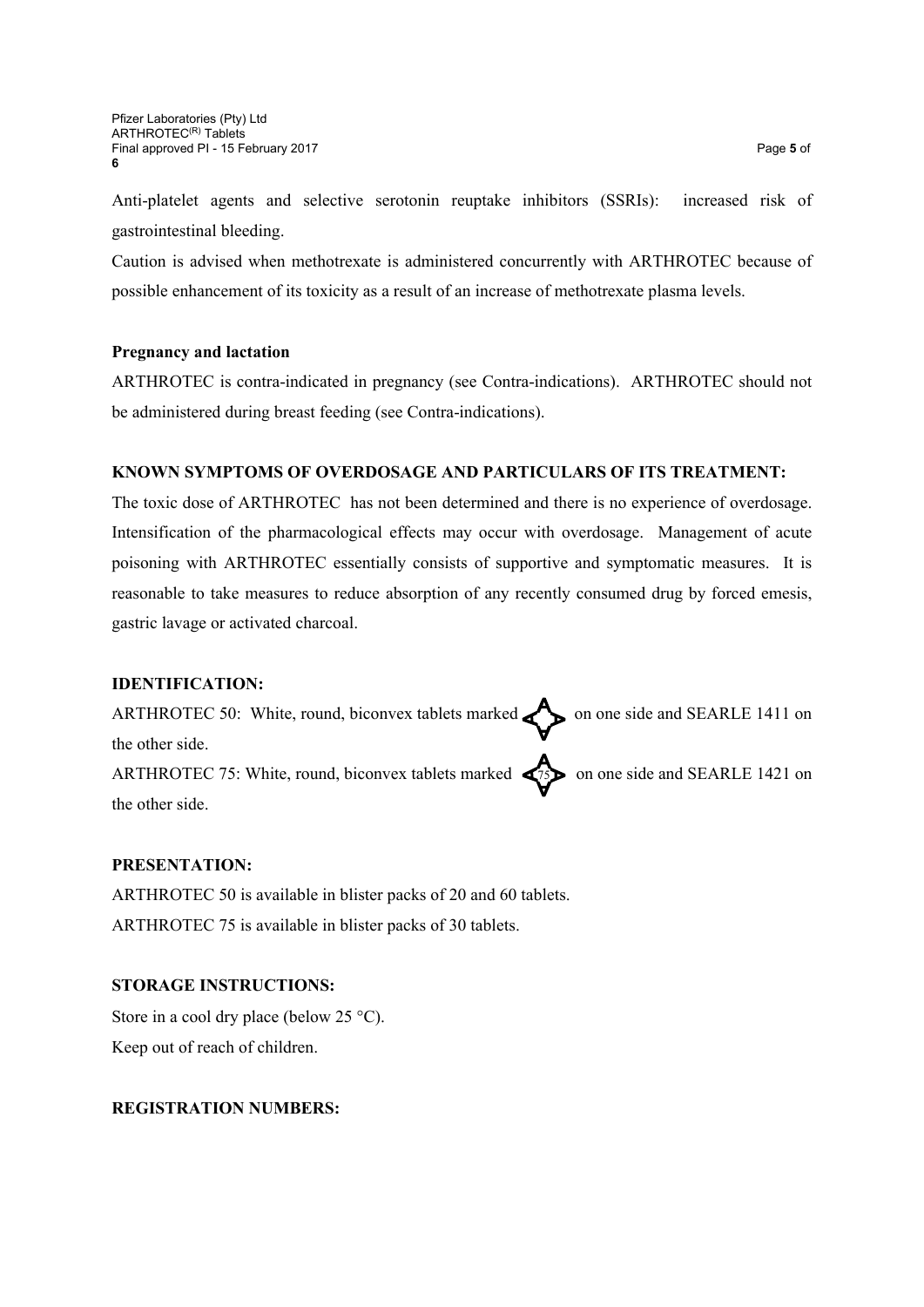Anti-platelet agents and selective serotonin reuptake inhibitors (SSRIs): increased risk of gastrointestinal bleeding.

Caution is advised when methotrexate is administered concurrently with ARTHROTEC because of possible enhancement of its toxicity as a result of an increase of methotrexate plasma levels.

# **Pregnancy and lactation**

ARTHROTEC is contra-indicated in pregnancy (see Contra-indications). ARTHROTEC should not be administered during breast feeding (see Contra-indications).

# **KNOWN SYMPTOMS OF OVERDOSAGE AND PARTICULARS OF ITS TREATMENT:**

The toxic dose of ARTHROTEC has not been determined and there is no experience of overdosage. Intensification of the pharmacological effects may occur with overdosage. Management of acute poisoning with ARTHROTEC essentially consists of supportive and symptomatic measures. It is reasonable to take measures to reduce absorption of any recently consumed drug by forced emesis, gastric lavage or activated charcoal.

### **IDENTIFICATION:**

ARTHROTEC 50: White, round, biconvex tablets marked  $\bullet$  on one side and SEARLE 1411 on the other side. ARTHROTEC 75: White, round, biconvex tablets marked  $\left\langle \right\rangle$  on one side and SEARLE 1421 on the other side.

# **PRESENTATION:**

ARTHROTEC 50 is available in blister packs of 20 and 60 tablets. ARTHROTEC 75 is available in blister packs of 30 tablets.

# **STORAGE INSTRUCTIONS:**

Store in a cool dry place (below  $25^{\circ}$ C). Keep out of reach of children.

# **REGISTRATION NUMBERS:**